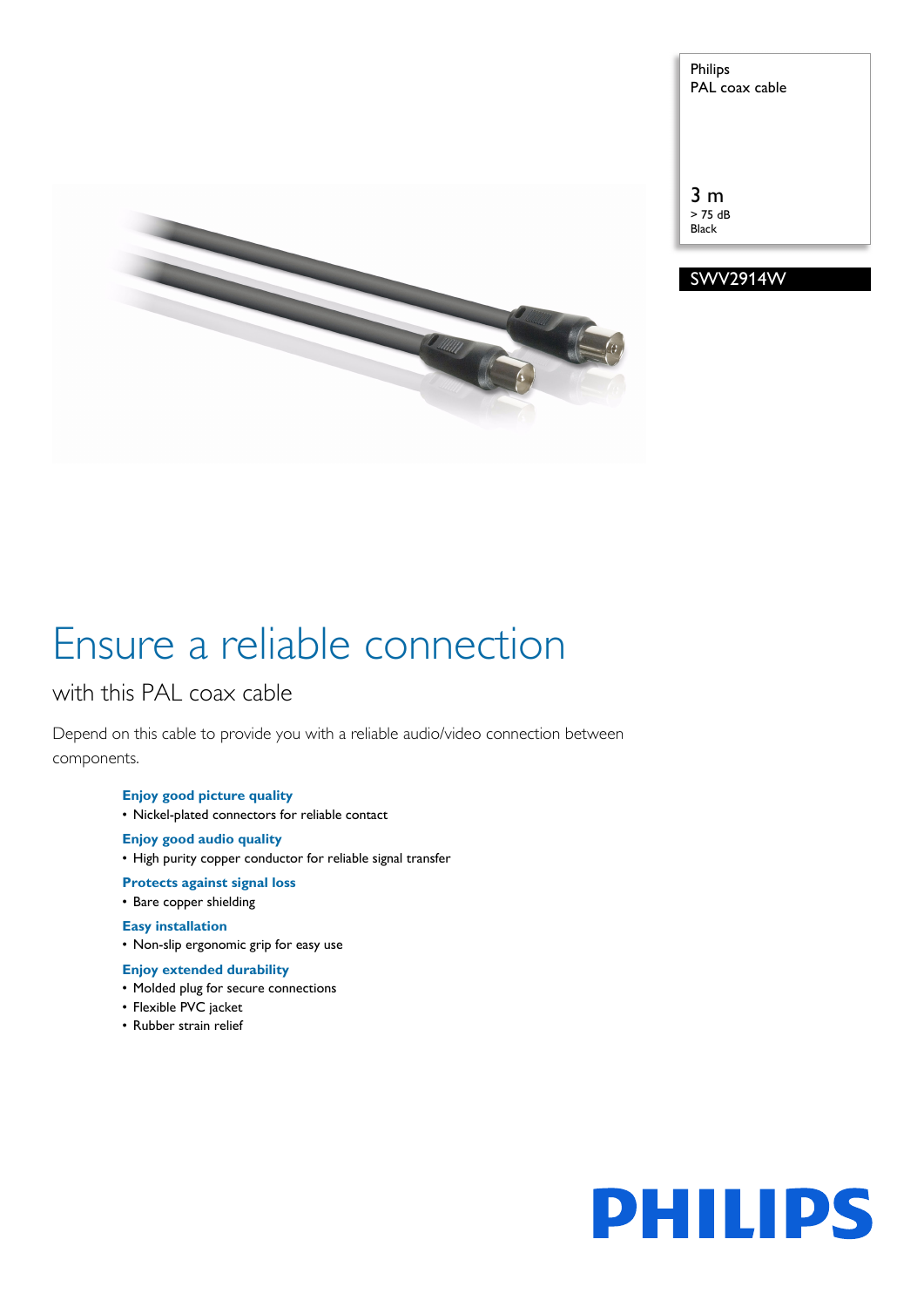

Philips PAL coax cable

3 m > 75 dB Black



# Ensure a reliable connection

# with this PAL coax cable

Depend on this cable to provide you with a reliable audio/video connection between components.

# **Enjoy good picture quality**

• Nickel-plated connectors for reliable contact

## **Enjoy good audio quality**

• High purity copper conductor for reliable signal transfer

### **Protects against signal loss**

• Bare copper shielding

# **Easy installation**

• Non-slip ergonomic grip for easy use

## **Enjoy extended durability**

- Molded plug for secure connections
- Flexible PVC jacket
- Rubber strain relief